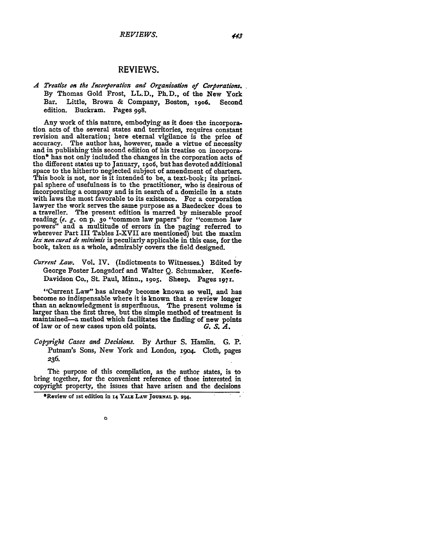## REVIEWS.

*A Treatise on the Incorporation and Organization of Corprations.* **By** Thomas Gold Frost, LL.D., Ph.D., of the New York Bar. Little, Brown & Company, Boston, **19o6.** Second edition. Buckram. Pages **998.**

**Any** work of this nature, embodying as it does the incorporation acts of the several states and territories, requires constant revision and alteration; here eternal vigilance is the price of accuracy. The author has, however, made a virtue of necessity and in publishing this second edition of his treatise on incorpora- tion\* has not only included the changes in the corporation acts of the different states up to January, **i9o6,** but has devoted additional space to the hitherto neglected subject of amendment of charters. This book is not, nor is it intended to be, a text-book; its principal sphere of usefulness is to the practitioner, who is desirous of incorporating a company and is in search of a domicile in a state lawyer the work serves the same purpose as a Baedecker does to a traveller. The present edition is marred **by** miserable proof reading *(e. g.* on **p. 3o** "common law papers" for "common law powers" and a multitude of errors in the paging referred to wherever Part III Tables I-XVII are mentioned) but the maxim *lex non curat de minimis* is peculiarly applicable in this case, for the book, taken as a whole, admirably covers the field designed.

*Current Law.* Vol. IV. (Indictments to Witnesses.) Edited **by** George Foster Longsdorf and Walter **Q.** Schumaker. Keefe-Davidson Co., St. Paul, Minn., **1905.** Sheep. Pages **1971-**

"Current Law" has already become known so well, and has become so indispensable where it is known that a review longer than an acknowledgment is superfluous. The present volume is larger than the first three, but the simple method of treatment is maintained-a method which facilitates the finding of'new **points** of law or of new cases upon old points. *G. S. A.*

*Copyright Cases and Decisions.* **By** Arthur **S.** Hamlin. **G.** P. Putnam's Sons, New York and London, **I9O4.** Cloth, pages **236.**

The purpose of this compilation, as the author states, is to bring together, for the convenient reference of those interested in copyright property, the issues that have arisen and the decisions

 $\circ$ 

<sup>\*</sup>Review of ist edition in **14 YALE LAW JOURNAL p. 294.**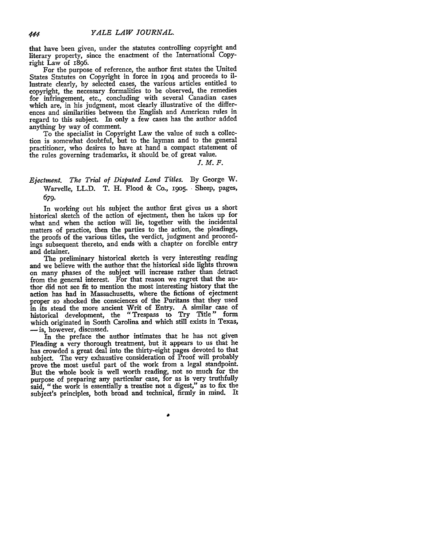that have been given, under the statutes controlling copyright and literary property, since the enactment of the International Copyright Law of 1896.

For the purpose of reference, the author first states the United States Statutes on Copyright in force in **19o4** and proceeds to illustrate clearly, **by** selected cases, the various articles entitled to copyright, the necessary formalities to be observed, the remedies for infringement, etc., concluding with several Canadian cases which are, in his judgment, most clearly illustrative of the differences and similarities between the English and American rules in regard to this subject. In only a few cases has the author added anything **by** way of comment.

To the specialist in Copyright Law the value of such a collection is somewhat doubtful, but to the layman and to the general practitioner, who desires to have at hand a compact statement of the rules governing trademarks, it should be, of great value.

*J.M.F.*

## *Ejectment. The Trial of Disputed Land Titles.* By George W. Warvelle, LL.D. T. H. Flood & Co., **19o5.** Sheep, pages, 679.

In working out his subject the author first gives us a short historical sketch of the action of ejectment, then he takes up for what and when the action will lie, together with the incidental matters of practice, then the parties to the action, the pleadings, the proofs of the various titles, the verdict, judgment and proceedings subsequent thereto, and ends with a chapter on forcible entry and detainer.

The preliminary historical sketch is very interesting reading and we believe with the author that the historical side lights thrown on many phases of the subject will increase rather than detract from the general interest. For that reason we regret that the author did not see fit to mention the most interesting history that the action has had in Massachusetts, where the fictions of ejectment proper so shocked the consciences of the Puritans that they used in its stead the more ancient Writ of Entry. A similar case of historical development, the "Trespass to Try Title" form which originated in South Carolina and which still exists in Texas, **-** is, however, discussed.

In the preface the author intimates that he has not given Pleading a very thorough treatment, but it appears to us that he has crowded a great deal into the thirty-eight pages devoted to that subject. The very exhaustive consideration of Proof will probably prove the most useful part of the work from a legal standpoint. But the whole book is well worth reading, not so much for the purpose of preparing any particular case, for as is very truthfully said, "the work is essentially a treatise not a digest," as to fix the subject's principles, both broad and technical, firmly in mind. It